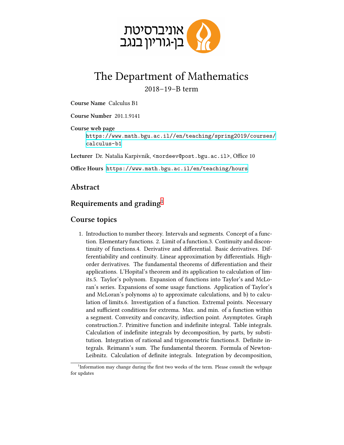

## The Department of Mathematics 2018–19–B term

**Course Name** Calculus B1

**Course Number** 201 .1 .9141

**Course web page** [https://www.math.bgu.ac.il//en/teaching/spring2019/courses/](https://www.math.bgu.ac.il//en/teaching/spring2019/courses/calculus-b1) [calculus-b1](https://www.math.bgu.ac.il//en/teaching/spring2019/courses/calculus-b1)

Lecturer Dr. Natalia Karpivnik, <mordeev@post.bgu.ac.il>, Office 10

**Office Hours** <https://www.math.bgu.ac.il/en/teaching/hours>

## **Abstract**

## **Requirements and grading**[1](#page-0-0)

## **Course topics**

1. Introduction to number theory. Intervals and segments. Concept of a function. Elementary functions. 2. Limit of a function.3. Continuity and discontinuity of functions.4. Derivative and differential. Basic derivatives. Differentiability and continuity. Linear approximation by differentials. Highorder derivatives. The fundamental theorems of differentiation and their applications. L'Hopital's theorem and its application to calculation of limits.5. Taylor's polynom. Expansion of functions into Taylor's and McLoran's series. Expansions of some usage functions. Application of Taylor's and McLoran's polynoms a) to approximate calculations, and b) to calculation of limits.6. Investigation of a function. Extremal points. Necessary and sufficient conditions for extrema. Max. and min. of a function within a segment. Convexity and concavity, inflection point. Asymptotes. Graph construction.7. Primitive function and indefinite integral. Table integrals. Calculation of indefinite integrals by decomposition, by parts, by substitution. Integration of rational and trigonometric functions.8. Definite integrals. Reimann's sum. The fundamental theorem. Formula of Newton-Leibnitz. Calculation of definite integrals. Integration by decomposition,

<span id="page-0-0"></span><sup>&</sup>lt;sup>1</sup>Information may change during the first two weeks of the term. Please consult the webpage for updates